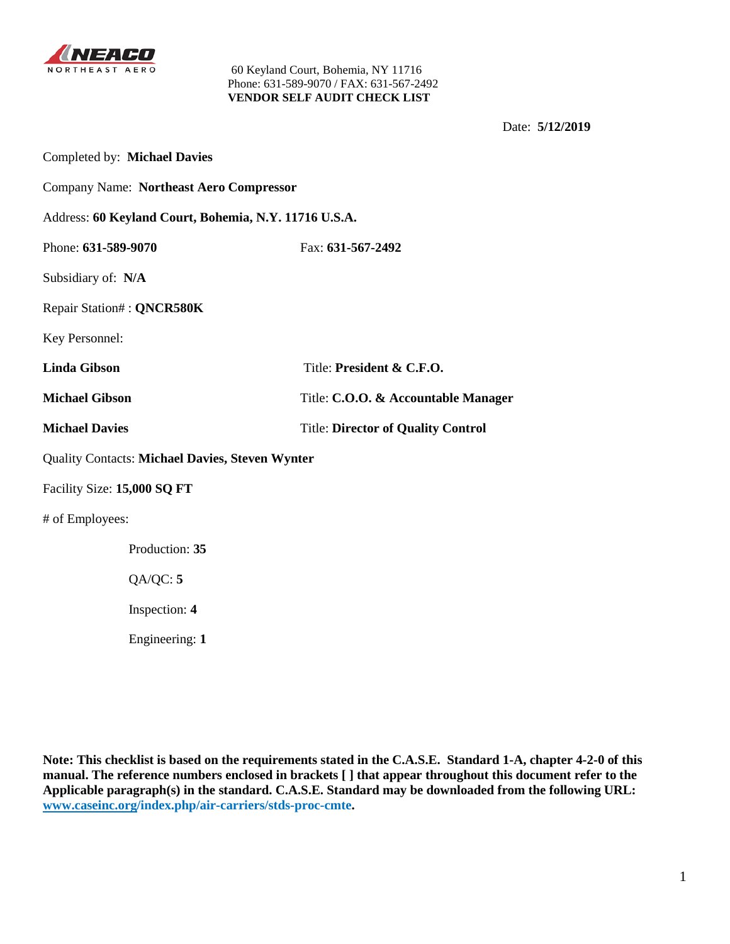

Date: **5/12/2019**

| Completed by: Michael Davies                           |                                           |  |  |
|--------------------------------------------------------|-------------------------------------------|--|--|
| <b>Company Name: Northeast Aero Compressor</b>         |                                           |  |  |
| Address: 60 Keyland Court, Bohemia, N.Y. 11716 U.S.A.  |                                           |  |  |
| Phone: 631-589-9070                                    | Fax: 631-567-2492                         |  |  |
| Subsidiary of: N/A                                     |                                           |  |  |
| Repair Station#: QNCR580K                              |                                           |  |  |
| Key Personnel:                                         |                                           |  |  |
| <b>Linda Gibson</b><br>Title: President & C.F.O.       |                                           |  |  |
| <b>Michael Gibson</b>                                  | Title: C.O.O. & Accountable Manager       |  |  |
| <b>Michael Davies</b>                                  | <b>Title: Director of Quality Control</b> |  |  |
| <b>Quality Contacts: Michael Davies, Steven Wynter</b> |                                           |  |  |
| Facility Size: 15,000 SQ FT                            |                                           |  |  |
| # of Employees:                                        |                                           |  |  |
| Production: 35                                         |                                           |  |  |
| QA/QC: 5                                               |                                           |  |  |
| Inspection: 4                                          |                                           |  |  |
| Engineering: 1                                         |                                           |  |  |

**Note: This checklist is based on the requirements stated in the C.A.S.E. Standard 1-A, chapter 4-2-0 of this manual. The reference numbers enclosed in brackets [ ] that appear throughout this document refer to the Applicable paragraph(s) in the standard. C.A.S.E. Standard may be downloaded from the following URL: [www.caseinc.org/](http://www.caseinc.org/)index.php/air-carriers/stds-proc-cmte.**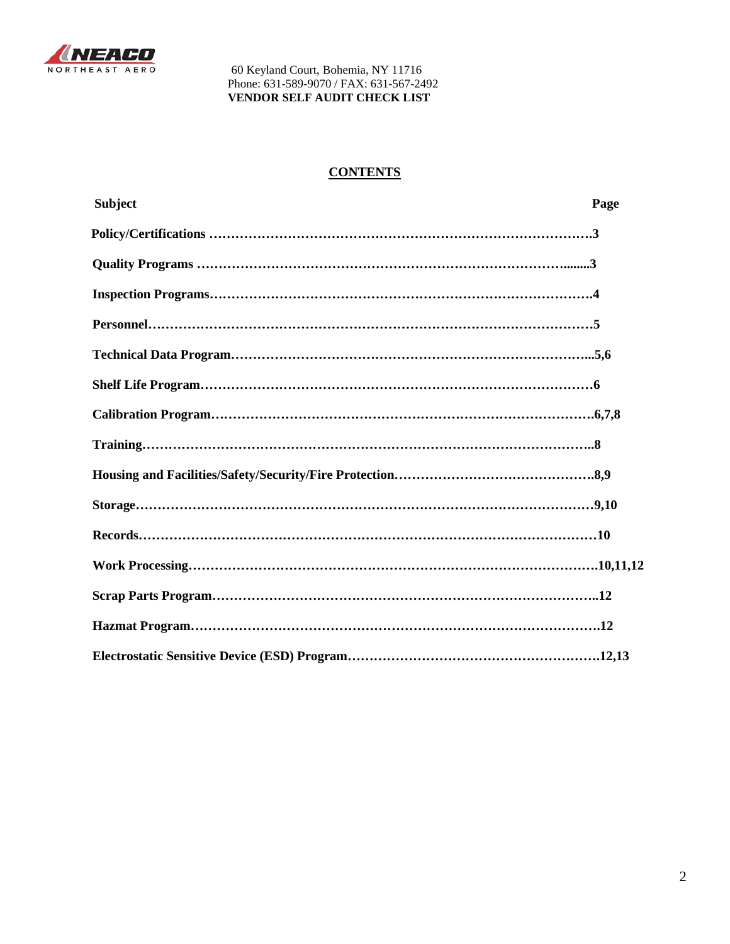

# **CONTENTS**

| <b>Subject</b> | Page |
|----------------|------|
|                |      |
|                |      |
|                |      |
|                |      |
|                |      |
|                |      |
|                |      |
|                |      |
|                |      |
|                |      |
|                |      |
|                |      |
|                |      |
|                |      |
|                |      |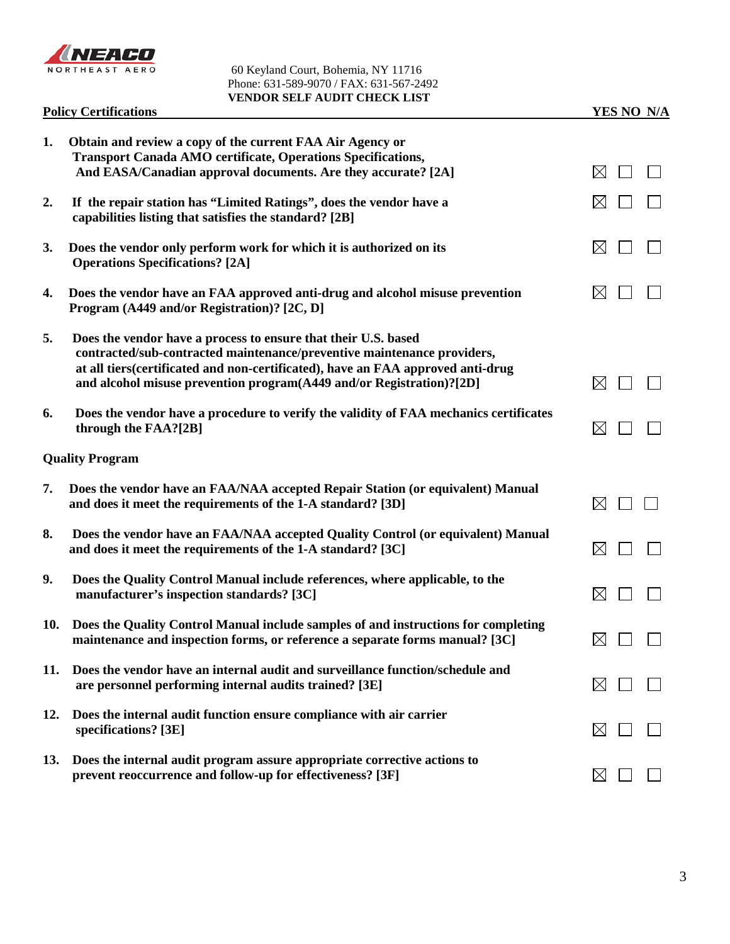

|     | <b>Policy Certifications</b>                                                                                                                                                                                                                                                                         | YES NO N/A                |
|-----|------------------------------------------------------------------------------------------------------------------------------------------------------------------------------------------------------------------------------------------------------------------------------------------------------|---------------------------|
| 1.  | Obtain and review a copy of the current FAA Air Agency or<br><b>Transport Canada AMO certificate, Operations Specifications,</b><br>And EASA/Canadian approval documents. Are they accurate? [2A]                                                                                                    | $\bowtie$                 |
| 2.  | If the repair station has "Limited Ratings", does the vendor have a<br>capabilities listing that satisfies the standard? [2B]                                                                                                                                                                        | $\boxtimes$               |
| 3.  | Does the vendor only perform work for which it is authorized on its<br><b>Operations Specifications?</b> [2A]                                                                                                                                                                                        | $\boxtimes$               |
| 4.  | Does the vendor have an FAA approved anti-drug and alcohol misuse prevention<br>Program (A449 and/or Registration)? [2C, D]                                                                                                                                                                          | $\boxtimes$               |
| 5.  | Does the vendor have a process to ensure that their U.S. based<br>contracted/sub-contracted maintenance/preventive maintenance providers,<br>at all tiers(certificated and non-certificated), have an FAA approved anti-drug<br>and alcohol misuse prevention program(A449 and/or Registration)?[2D] | $\bowtie$                 |
| 6.  | Does the vendor have a procedure to verify the validity of FAA mechanics certificates<br>through the FAA?[2B]                                                                                                                                                                                        | $\boxtimes$               |
|     | <b>Quality Program</b>                                                                                                                                                                                                                                                                               |                           |
| 7.  | Does the vendor have an FAA/NAA accepted Repair Station (or equivalent) Manual<br>and does it meet the requirements of the 1-A standard? [3D]                                                                                                                                                        | $\boxtimes$               |
| 8.  | Does the vendor have an FAA/NAA accepted Quality Control (or equivalent) Manual<br>and does it meet the requirements of the 1-A standard? [3C]                                                                                                                                                       | $\boxtimes$               |
| 9.  | Does the Quality Control Manual include references, where applicable, to the<br>manufacturer's inspection standards? [3C]                                                                                                                                                                            | $\boxtimes$               |
| 10. | Does the Quality Control Manual include samples of and instructions for completing<br>maintenance and inspection forms, or reference a separate forms manual? [3C]                                                                                                                                   | $\boxtimes$ $\Box$ $\Box$ |
| 11. | Does the vendor have an internal audit and surveillance function/schedule and<br>are personnel performing internal audits trained? [3E]                                                                                                                                                              | $\boxtimes$               |
| 12. | Does the internal audit function ensure compliance with air carrier<br>specifications? [3E]                                                                                                                                                                                                          | $\boxtimes$               |
| 13. | Does the internal audit program assure appropriate corrective actions to<br>prevent reoccurrence and follow-up for effectiveness? [3F]                                                                                                                                                               | $\boxtimes$               |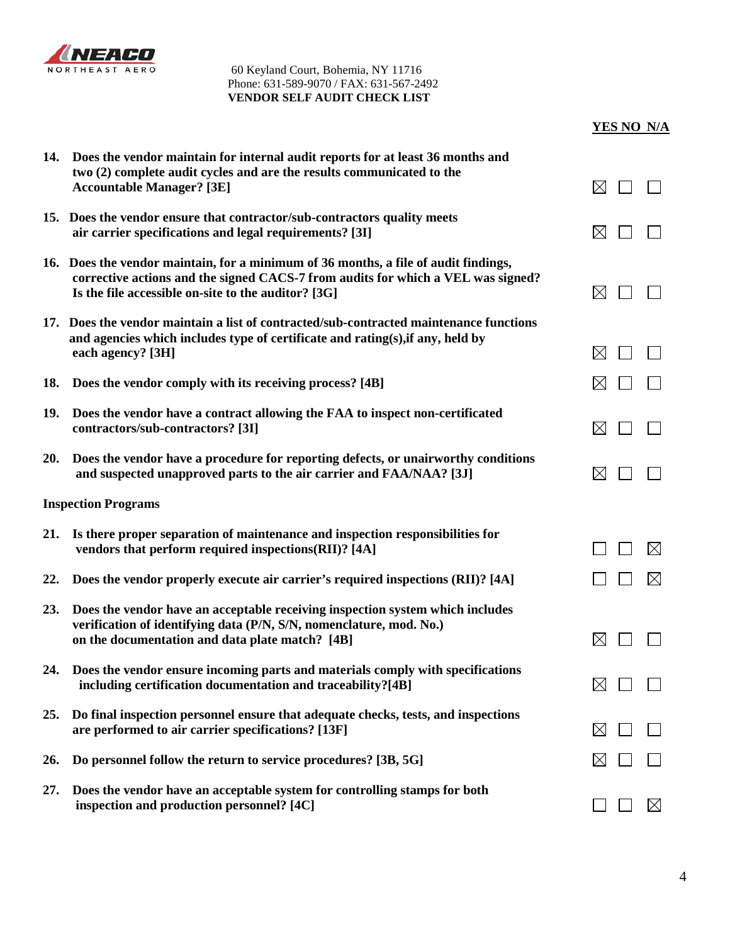

|  | YES NO  N/A |
|--|-------------|
|  |             |

| 14. | Does the vendor maintain for internal audit reports for at least 36 months and<br>two (2) complete audit cycles and are the results communicated to the<br><b>Accountable Manager?</b> [3E]                                    | $\boxtimes$        |             |
|-----|--------------------------------------------------------------------------------------------------------------------------------------------------------------------------------------------------------------------------------|--------------------|-------------|
|     | 15. Does the vendor ensure that contractor/sub-contractors quality meets<br>air carrier specifications and legal requirements? [3I]                                                                                            | $\boxtimes$        |             |
|     | 16. Does the vendor maintain, for a minimum of 36 months, a file of audit findings,<br>corrective actions and the signed CACS-7 from audits for which a VEL was signed?<br>Is the file accessible on-site to the auditor? [3G] | $\boxtimes$        |             |
|     | 17. Does the vendor maintain a list of contracted/sub-contracted maintenance functions<br>and agencies which includes type of certificate and rating(s), if any, held by<br>each agency? [3H]                                  | $\boxtimes$        |             |
| 18. | Does the vendor comply with its receiving process? [4B]                                                                                                                                                                        | $\boxtimes$        |             |
| 19. | Does the vendor have a contract allowing the FAA to inspect non-certificated<br>contractors/sub-contractors? [3I]                                                                                                              | $\boxtimes$        |             |
| 20. | Does the vendor have a procedure for reporting defects, or unairworthy conditions<br>and suspected unapproved parts to the air carrier and FAA/NAA? [3J]                                                                       | $\boxtimes$        |             |
|     | <b>Inspection Programs</b>                                                                                                                                                                                                     |                    |             |
| 21. | Is there proper separation of maintenance and inspection responsibilities for<br>vendors that perform required inspections(RII)? [4A]                                                                                          |                    | $\bowtie$   |
| 22. | Does the vendor properly execute air carrier's required inspections (RII)? [4A]                                                                                                                                                |                    | ⊠           |
| 23. | Does the vendor have an acceptable receiving inspection system which includes<br>verification of identifying data (P/N, S/N, nomenclature, mod. No.)<br>on the documentation and data plate match? [4B]                        | $\boxtimes$        |             |
| 24. | Does the vendor ensure incoming parts and materials comply with specifications<br>including certification documentation and traceability?[4B]                                                                                  | $\boxtimes$ $\Box$ |             |
| 25. | Do final inspection personnel ensure that adequate checks, tests, and inspections<br>are performed to air carrier specifications? [13F]                                                                                        | $\boxtimes$        |             |
| 26. | Do personnel follow the return to service procedures? [3B, 5G]                                                                                                                                                                 | $\boxtimes$        |             |
| 27. | Does the vendor have an acceptable system for controlling stamps for both<br>inspection and production personnel? [4C]                                                                                                         |                    | $\boxtimes$ |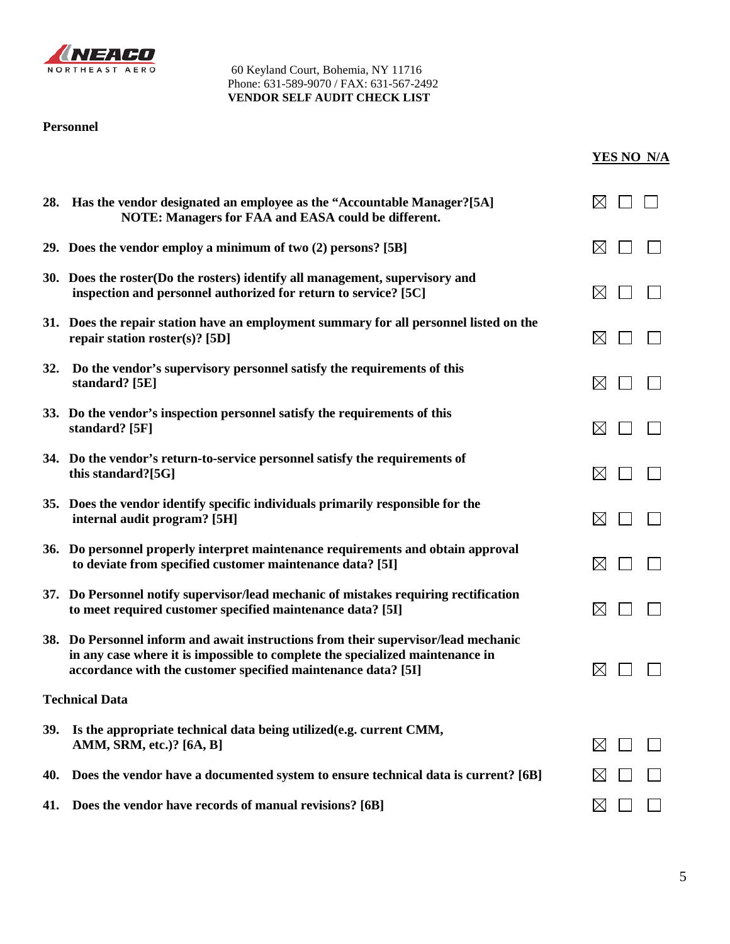

# **Personnel**

| YES NO N/A |  |
|------------|--|
|            |  |

|     | 28. Has the vendor designated an employee as the "Accountable Manager?[5A]<br>NOTE: Managers for FAA and EASA could be different.                                                                                                    |             |  |
|-----|--------------------------------------------------------------------------------------------------------------------------------------------------------------------------------------------------------------------------------------|-------------|--|
|     | 29. Does the vendor employ a minimum of two (2) persons? [5B]                                                                                                                                                                        | $\boxtimes$ |  |
|     | 30. Does the roster(Do the rosters) identify all management, supervisory and<br>inspection and personnel authorized for return to service? [5C]                                                                                      | $\boxtimes$ |  |
|     | 31. Does the repair station have an employment summary for all personnel listed on the<br>repair station roster(s)? [5D]                                                                                                             | $\boxtimes$ |  |
| 32. | Do the vendor's supervisory personnel satisfy the requirements of this<br>standard? [5E]                                                                                                                                             | $\boxtimes$ |  |
|     | 33. Do the vendor's inspection personnel satisfy the requirements of this<br>standard? [5F]                                                                                                                                          | $\boxtimes$ |  |
|     | 34. Do the vendor's return-to-service personnel satisfy the requirements of<br>this standard?[5G]                                                                                                                                    | $\boxtimes$ |  |
|     | 35. Does the vendor identify specific individuals primarily responsible for the<br>internal audit program? [5H]                                                                                                                      | $\boxtimes$ |  |
|     | 36. Do personnel properly interpret maintenance requirements and obtain approval<br>to deviate from specified customer maintenance data? [5I]                                                                                        | $\boxtimes$ |  |
|     | 37. Do Personnel notify supervisor/lead mechanic of mistakes requiring rectification<br>to meet required customer specified maintenance data? [5I]                                                                                   | $\boxtimes$ |  |
|     | 38. Do Personnel inform and await instructions from their supervisor/lead mechanic<br>in any case where it is impossible to complete the specialized maintenance in<br>accordance with the customer specified maintenance data? [5I] | $\boxtimes$ |  |
|     | <b>Technical Data</b>                                                                                                                                                                                                                |             |  |
| 39. | Is the appropriate technical data being utilized(e.g. current CMM,<br>AMM, SRM, etc.)? [6A, B]                                                                                                                                       | $\boxtimes$ |  |
| 40. | Does the vendor have a documented system to ensure technical data is current? [6B]                                                                                                                                                   | $\times$    |  |
| 41. | Does the vendor have records of manual revisions? [6B]                                                                                                                                                                               | $\boxtimes$ |  |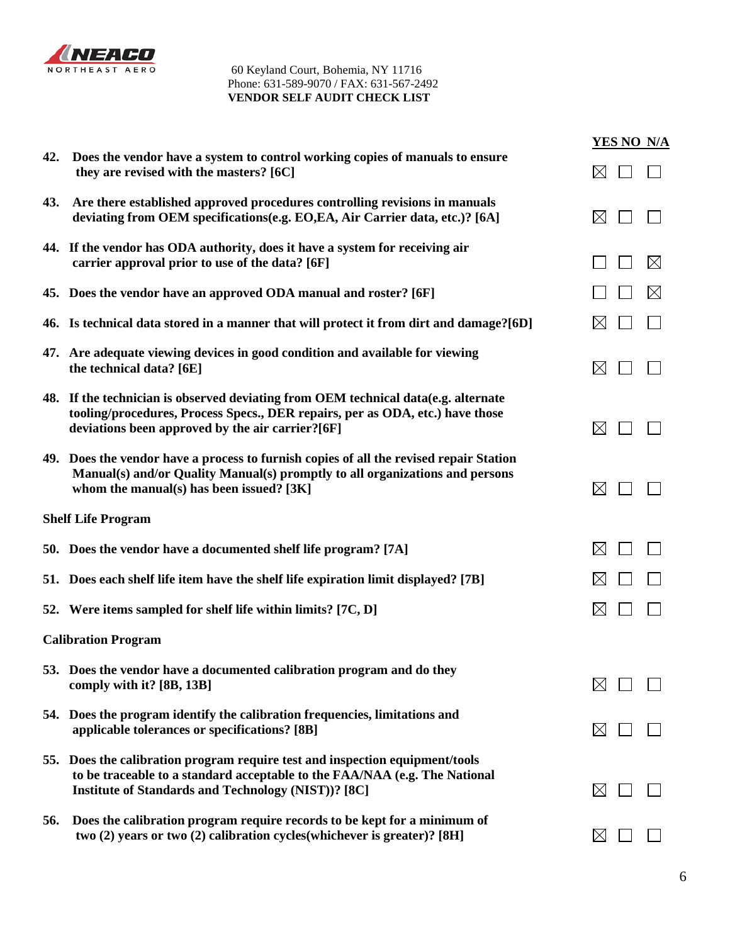

|     |                                                                                                                                                                                                                          | YES NO N/A  |
|-----|--------------------------------------------------------------------------------------------------------------------------------------------------------------------------------------------------------------------------|-------------|
| 42. | Does the vendor have a system to control working copies of manuals to ensure<br>they are revised with the masters? [6C]                                                                                                  | $\boxtimes$ |
| 43. | Are there established approved procedures controlling revisions in manuals<br>deviating from OEM specifications(e.g. EO,EA, Air Carrier data, etc.)? [6A]                                                                | $\boxtimes$ |
|     | 44. If the vendor has ODA authority, does it have a system for receiving air<br>carrier approval prior to use of the data? [6F]                                                                                          | $\boxtimes$ |
|     | 45. Does the vendor have an approved ODA manual and roster? [6F]                                                                                                                                                         | $\boxtimes$ |
|     | 46. Is technical data stored in a manner that will protect it from dirt and damage?[6D]                                                                                                                                  | M           |
|     | 47. Are adequate viewing devices in good condition and available for viewing<br>the technical data? [6E]                                                                                                                 | $\boxtimes$ |
|     | 48. If the technician is observed deviating from OEM technical data(e.g. alternate<br>tooling/procedures, Process Specs., DER repairs, per as ODA, etc.) have those<br>deviations been approved by the air carrier?[6F]  | $\boxtimes$ |
|     | 49. Does the vendor have a process to furnish copies of all the revised repair Station<br>Manual(s) and/or Quality Manual(s) promptly to all organizations and persons<br>whom the manual(s) has been issued? [3K]       | $\boxtimes$ |
|     | <b>Shelf Life Program</b>                                                                                                                                                                                                |             |
|     | 50. Does the vendor have a documented shelf life program? [7A]                                                                                                                                                           | $\boxtimes$ |
|     | 51. Does each shelf life item have the shelf life expiration limit displayed? [7B]                                                                                                                                       | $\boxtimes$ |
|     | 52. Were items sampled for shelf life within limits? [7C, D]                                                                                                                                                             | $\boxtimes$ |
|     | <b>Calibration Program</b>                                                                                                                                                                                               |             |
|     | 53. Does the vendor have a documented calibration program and do they<br>comply with it? [8B, 13B]                                                                                                                       |             |
|     | 54. Does the program identify the calibration frequencies, limitations and<br>applicable tolerances or specifications? [8B]                                                                                              | $\bowtie$   |
|     | 55. Does the calibration program require test and inspection equipment/tools<br>to be traceable to a standard acceptable to the FAA/NAA (e.g. The National<br><b>Institute of Standards and Technology (NIST))? [8C]</b> | $\boxtimes$ |
| 56. | Does the calibration program require records to be kept for a minimum of<br>two (2) years or two (2) calibration cycles(whichever is greater)? [8H]                                                                      | $\bowtie$   |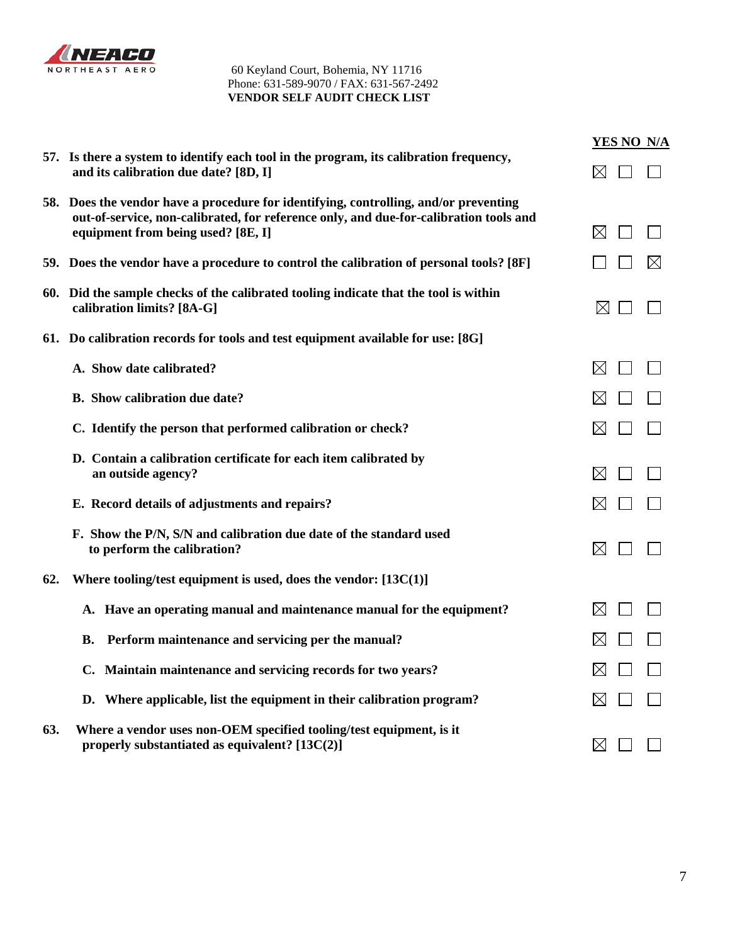

|     |                                                                                                                                                                                                                     | YES NO N/A  |
|-----|---------------------------------------------------------------------------------------------------------------------------------------------------------------------------------------------------------------------|-------------|
|     | 57. Is there a system to identify each tool in the program, its calibration frequency,<br>and its calibration due date? [8D, I]                                                                                     | $\boxtimes$ |
|     | 58. Does the vendor have a procedure for identifying, controlling, and/or preventing<br>out-of-service, non-calibrated, for reference only, and due-for-calibration tools and<br>equipment from being used? [8E, I] | $\boxtimes$ |
|     | 59. Does the vendor have a procedure to control the calibration of personal tools? [8F]                                                                                                                             | $\boxtimes$ |
|     | 60. Did the sample checks of the calibrated tooling indicate that the tool is within<br>calibration limits? [8A-G]                                                                                                  | $\boxtimes$ |
|     | 61. Do calibration records for tools and test equipment available for use: [8G]                                                                                                                                     |             |
|     | A. Show date calibrated?                                                                                                                                                                                            | $\boxtimes$ |
|     | <b>B.</b> Show calibration due date?                                                                                                                                                                                |             |
|     | C. Identify the person that performed calibration or check?                                                                                                                                                         | ⊠           |
|     | D. Contain a calibration certificate for each item calibrated by<br>an outside agency?                                                                                                                              | $\bowtie$   |
|     | E. Record details of adjustments and repairs?                                                                                                                                                                       | $\boxtimes$ |
|     | F. Show the P/N, S/N and calibration due date of the standard used<br>to perform the calibration?                                                                                                                   | $\boxtimes$ |
| 62. | Where tooling/test equipment is used, does the vendor: $[13C(1)]$                                                                                                                                                   |             |
|     | A. Have an operating manual and maintenance manual for the equipment?                                                                                                                                               | $\boxtimes$ |
|     | Perform maintenance and servicing per the manual?<br>В.                                                                                                                                                             | $\boxtimes$ |
|     | C. Maintain maintenance and servicing records for two years?                                                                                                                                                        | IХ          |
|     | D. Where applicable, list the equipment in their calibration program?                                                                                                                                               | ⊠           |
| 63. | Where a vendor uses non-OEM specified tooling/test equipment, is it<br>properly substantiated as equivalent? $[13C(2)]$                                                                                             | $\boxtimes$ |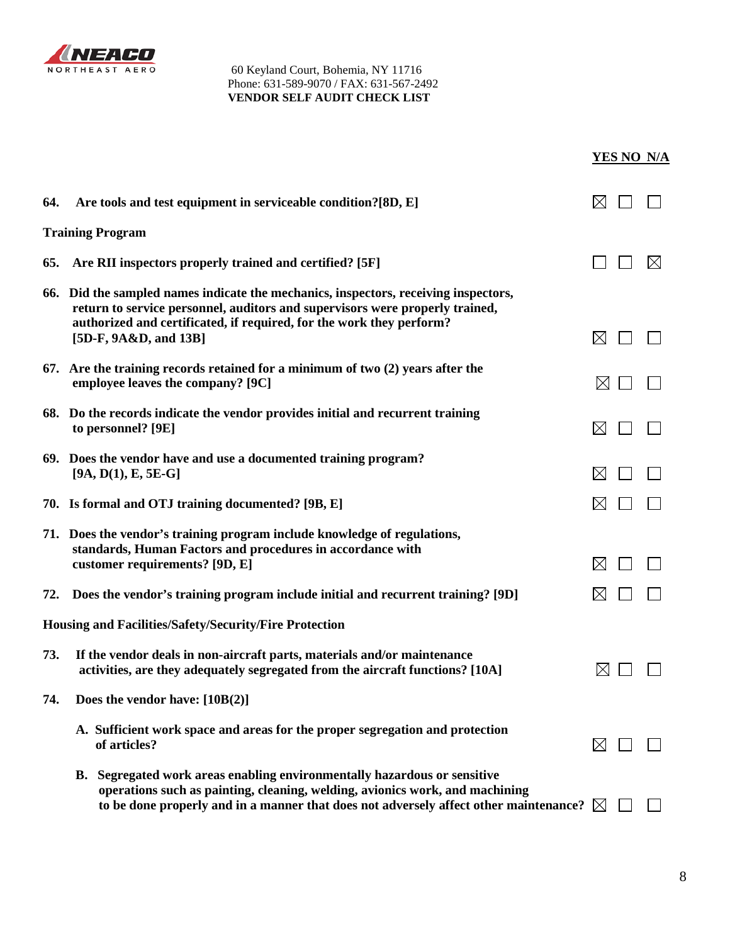

|     |                                                                                                                                                                                                                                                                      |             | <b>YES NO N/A</b> |
|-----|----------------------------------------------------------------------------------------------------------------------------------------------------------------------------------------------------------------------------------------------------------------------|-------------|-------------------|
| 64. | Are tools and test equipment in serviceable condition?[8D, E]                                                                                                                                                                                                        | IХI         |                   |
|     | <b>Training Program</b>                                                                                                                                                                                                                                              |             |                   |
| 65. | Are RII inspectors properly trained and certified? [5F]                                                                                                                                                                                                              |             | $\boxtimes$       |
|     | 66. Did the sampled names indicate the mechanics, inspectors, receiving inspectors,<br>return to service personnel, auditors and supervisors were properly trained,<br>authorized and certificated, if required, for the work they perform?<br>[5D-F, 9A&D, and 13B] | $\boxtimes$ |                   |
|     | 67. Are the training records retained for a minimum of two (2) years after the<br>employee leaves the company? [9C]                                                                                                                                                  | $\boxtimes$ |                   |
|     | 68. Do the records indicate the vendor provides initial and recurrent training<br>to personnel? [9E]                                                                                                                                                                 | $\boxtimes$ |                   |
|     | 69. Does the vendor have and use a documented training program?<br>$[9A, D(1), E, 5E-G]$                                                                                                                                                                             | IХI         |                   |
|     | 70. Is formal and OTJ training documented? [9B, E]                                                                                                                                                                                                                   | M           |                   |
|     | 71. Does the vendor's training program include knowledge of regulations,<br>standards, Human Factors and procedures in accordance with<br>customer requirements? [9D, E]                                                                                             | $\boxtimes$ |                   |
| 72. | Does the vendor's training program include initial and recurrent training? [9D]                                                                                                                                                                                      | $\boxtimes$ |                   |
|     | <b>Housing and Facilities/Safety/Security/Fire Protection</b>                                                                                                                                                                                                        |             |                   |
| 73. | If the vendor deals in non-aircraft parts, materials and/or maintenance<br>activities, are they adequately segregated from the aircraft functions? [10A]                                                                                                             | $\boxtimes$ |                   |
| 74. | Does the vendor have: $[10B(2)]$                                                                                                                                                                                                                                     |             |                   |
|     | A. Sufficient work space and areas for the proper segregation and protection<br>of articles?                                                                                                                                                                         | $\boxtimes$ |                   |
|     | B. Segregated work areas enabling environmentally hazardous or sensitive<br>operations such as painting, cleaning, welding, avionics work, and machining<br>to be done properly and in a manner that does not adversely affect other maintenance? $\boxtimes$        |             |                   |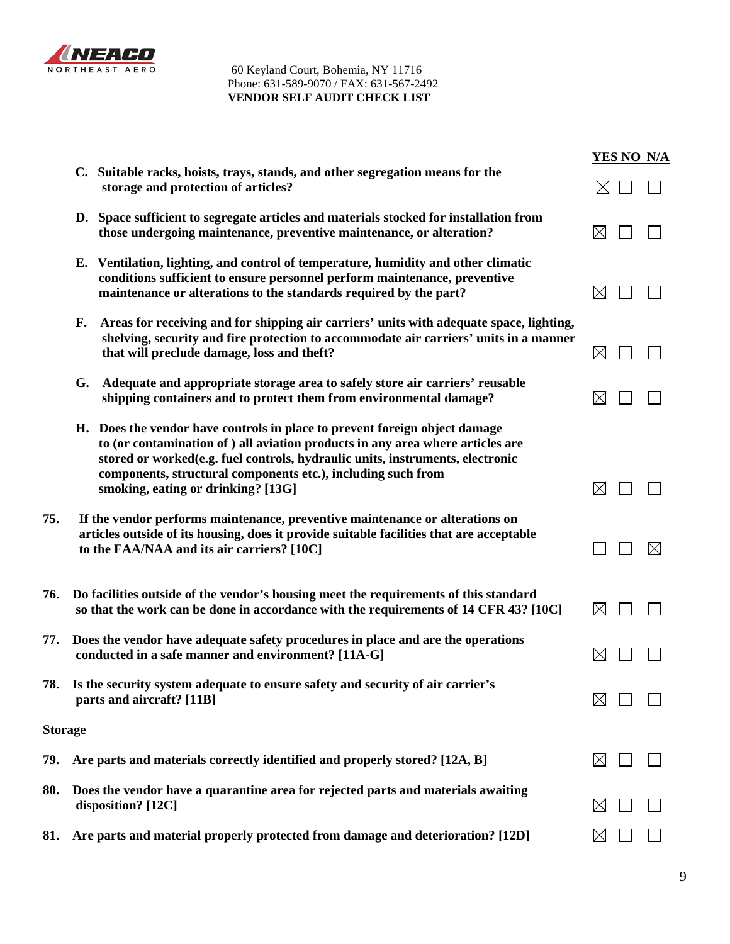

|                |                                                                                                                                                                                                                                                                                                                                                     | YES NO N/A  |
|----------------|-----------------------------------------------------------------------------------------------------------------------------------------------------------------------------------------------------------------------------------------------------------------------------------------------------------------------------------------------------|-------------|
|                | C. Suitable racks, hoists, trays, stands, and other segregation means for the<br>storage and protection of articles?                                                                                                                                                                                                                                | $\boxtimes$ |
|                | D. Space sufficient to segregate articles and materials stocked for installation from<br>those undergoing maintenance, preventive maintenance, or alteration?                                                                                                                                                                                       | $\boxtimes$ |
|                | E. Ventilation, lighting, and control of temperature, humidity and other climatic<br>conditions sufficient to ensure personnel perform maintenance, preventive<br>maintenance or alterations to the standards required by the part?                                                                                                                 | $\boxtimes$ |
|                | Areas for receiving and for shipping air carriers' units with adequate space, lighting,<br>F.<br>shelving, security and fire protection to accommodate air carriers' units in a manner<br>that will preclude damage, loss and theft?                                                                                                                | $\boxtimes$ |
|                | Adequate and appropriate storage area to safely store air carriers' reusable<br>G.<br>shipping containers and to protect them from environmental damage?                                                                                                                                                                                            | $\boxtimes$ |
|                | H. Does the vendor have controls in place to prevent foreign object damage<br>to (or contamination of ) all aviation products in any area where articles are<br>stored or worked(e.g. fuel controls, hydraulic units, instruments, electronic<br>components, structural components etc.), including such from<br>smoking, eating or drinking? [13G] | $\boxtimes$ |
| 75.            | If the vendor performs maintenance, preventive maintenance or alterations on<br>articles outside of its housing, does it provide suitable facilities that are acceptable<br>to the FAA/NAA and its air carriers? [10C]                                                                                                                              | $\boxtimes$ |
| 76.            | Do facilities outside of the vendor's housing meet the requirements of this standard<br>so that the work can be done in accordance with the requirements of 14 CFR 43? [10C]                                                                                                                                                                        | $\boxtimes$ |
| 77.            | Does the vendor have adequate safety procedures in place and are the operations<br>conducted in a safe manner and environment? [11A-G]                                                                                                                                                                                                              | $\boxtimes$ |
| 78.            | Is the security system adequate to ensure safety and security of air carrier's<br>parts and aircraft? [11B]                                                                                                                                                                                                                                         | $\bowtie$   |
| <b>Storage</b> |                                                                                                                                                                                                                                                                                                                                                     |             |
| 79.            | Are parts and materials correctly identified and properly stored? [12A, B]                                                                                                                                                                                                                                                                          | $\bowtie$   |
| 80.            | Does the vendor have a quarantine area for rejected parts and materials awaiting<br>disposition? [12C]                                                                                                                                                                                                                                              | $\boxtimes$ |
| 81.            | Are parts and material properly protected from damage and deterioration? [12D]                                                                                                                                                                                                                                                                      | $\bowtie$   |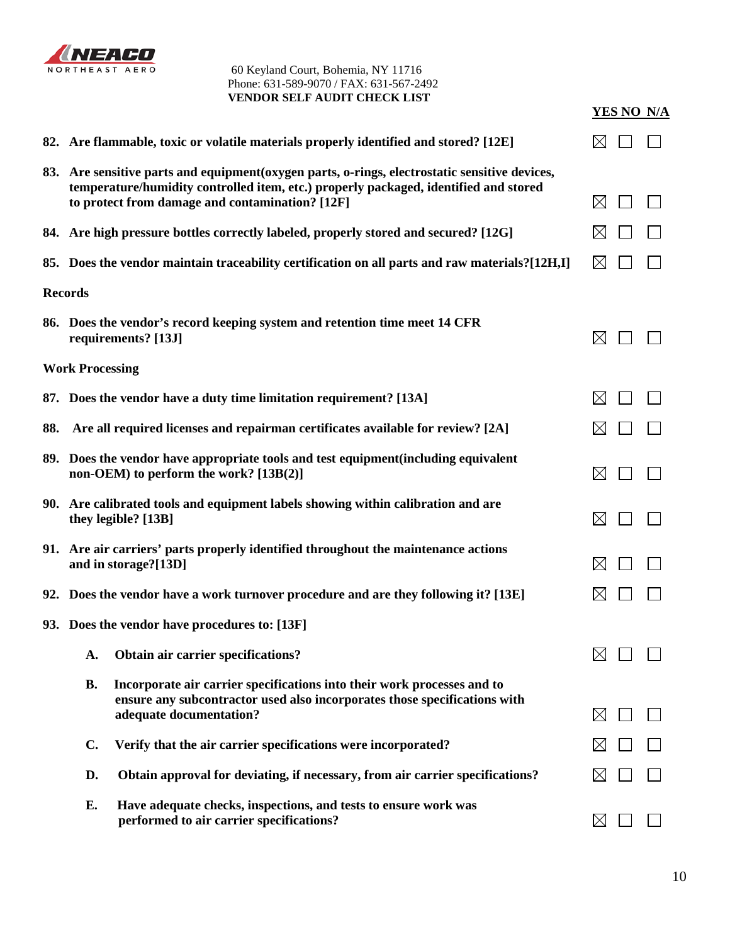

|     | 82. Are flammable, toxic or volatile materials properly identified and stored? [12E]                                                                                                                                                      |              |
|-----|-------------------------------------------------------------------------------------------------------------------------------------------------------------------------------------------------------------------------------------------|--------------|
|     | 83. Are sensitive parts and equipment (oxygen parts, o-rings, electrostatic sensitive devices,<br>temperature/humidity controlled item, etc.) properly packaged, identified and stored<br>to protect from damage and contamination? [12F] | $\boxtimes$  |
|     | 84. Are high pressure bottles correctly labeled, properly stored and secured? [12G]                                                                                                                                                       | $\bowtie$    |
|     | 85. Does the vendor maintain traceability certification on all parts and raw materials?[12H,I]                                                                                                                                            | IХI          |
|     | <b>Records</b>                                                                                                                                                                                                                            |              |
|     | 86. Does the vendor's record keeping system and retention time meet 14 CFR<br>requirements? [13J]                                                                                                                                         | $\bowtie$    |
|     | <b>Work Processing</b>                                                                                                                                                                                                                    |              |
|     | 87. Does the vendor have a duty time limitation requirement? [13A]                                                                                                                                                                        | $\bowtie$    |
| 88. | Are all required licenses and repairman certificates available for review? [2A]                                                                                                                                                           |              |
|     | 89. Does the vendor have appropriate tools and test equipment (including equivalent<br>non-OEM) to perform the work? [13B(2)]                                                                                                             | $\boxtimes$  |
|     | 90. Are calibrated tools and equipment labels showing within calibration and are<br>they legible? [13B]                                                                                                                                   | $\boxtimes$  |
|     | 91. Are air carriers' parts properly identified throughout the maintenance actions<br>and in storage?[13D]                                                                                                                                | $\boxtimes$  |
|     | 92. Does the vendor have a work turnover procedure and are they following it? [13E]                                                                                                                                                       | $\boxtimes$  |
|     | 93. Does the vendor have procedures to: [13F]                                                                                                                                                                                             |              |
|     | A. Obtain air carrier specifications?                                                                                                                                                                                                     | $\boxtimes$  |
|     | Incorporate air carrier specifications into their work processes and to<br><b>B.</b><br>ensure any subcontractor used also incorporates those specifications with<br>adequate documentation?                                              | $\bowtie$    |
|     | $C_{\bullet}$<br>Verify that the air carrier specifications were incorporated?                                                                                                                                                            | $\mathbb{X}$ |
|     | D.<br>Obtain approval for deviating, if necessary, from air carrier specifications?                                                                                                                                                       |              |
|     | Have adequate checks, inspections, and tests to ensure work was<br>E.<br>performed to air carrier specifications?                                                                                                                         | $\boxtimes$  |

**YES NO N/A**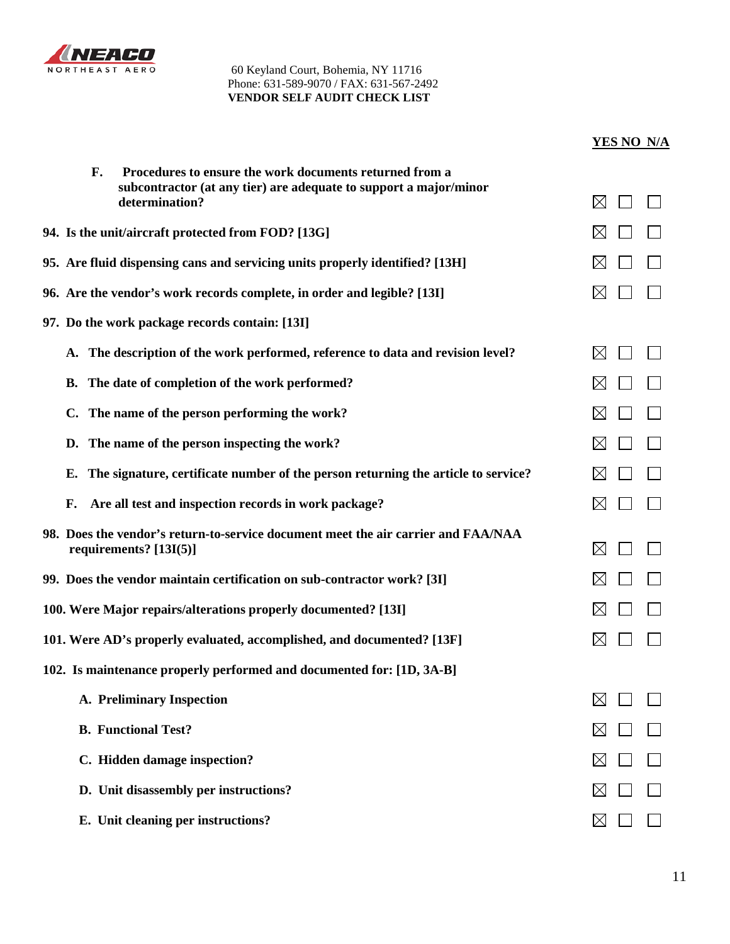

|    | F. | Procedures to ensure the work documents returned from a                                                       |             |  |
|----|----|---------------------------------------------------------------------------------------------------------------|-------------|--|
|    |    | subcontractor (at any tier) are adequate to support a major/minor<br>determination?                           | $\boxtimes$ |  |
|    |    | 94. Is the unit/aircraft protected from FOD? [13G]                                                            | $\boxtimes$ |  |
|    |    | 95. Are fluid dispensing cans and servicing units properly identified? [13H]                                  | $\boxtimes$ |  |
|    |    | 96. Are the vendor's work records complete, in order and legible? [13I]                                       | ⋉           |  |
|    |    | 97. Do the work package records contain: [13I]                                                                |             |  |
|    |    | A. The description of the work performed, reference to data and revision level?                               | ⋉           |  |
|    |    | B. The date of completion of the work performed?                                                              | $\boxtimes$ |  |
|    |    | C. The name of the person performing the work?                                                                | IX          |  |
|    |    | D. The name of the person inspecting the work?                                                                | $\boxtimes$ |  |
|    |    | E. The signature, certificate number of the person returning the article to service?                          | $\boxtimes$ |  |
| F. |    | Are all test and inspection records in work package?                                                          | $\boxtimes$ |  |
|    |    | 98. Does the vendor's return-to-service document meet the air carrier and FAA/NAA<br>requirements? $[13I(5)]$ | $\boxtimes$ |  |
|    |    | 99. Does the vendor maintain certification on sub-contractor work? [3I]                                       | $\boxtimes$ |  |
|    |    | 100. Were Major repairs/alterations properly documented? [13I]                                                | $\boxtimes$ |  |
|    |    | 101. Were AD's properly evaluated, accomplished, and documented? [13F]                                        | $\boxtimes$ |  |
|    |    | 102. Is maintenance properly performed and documented for: [1D, 3A-B]                                         |             |  |
|    |    | <b>A. Preliminary Inspection</b>                                                                              | IX          |  |
|    |    | <b>B.</b> Functional Test?                                                                                    | ⊠           |  |
|    |    | C. Hidden damage inspection?                                                                                  | $\bowtie$   |  |
|    |    | D. Unit disassembly per instructions?                                                                         | $\boxtimes$ |  |
|    |    | E. Unit cleaning per instructions?                                                                            | ⋉           |  |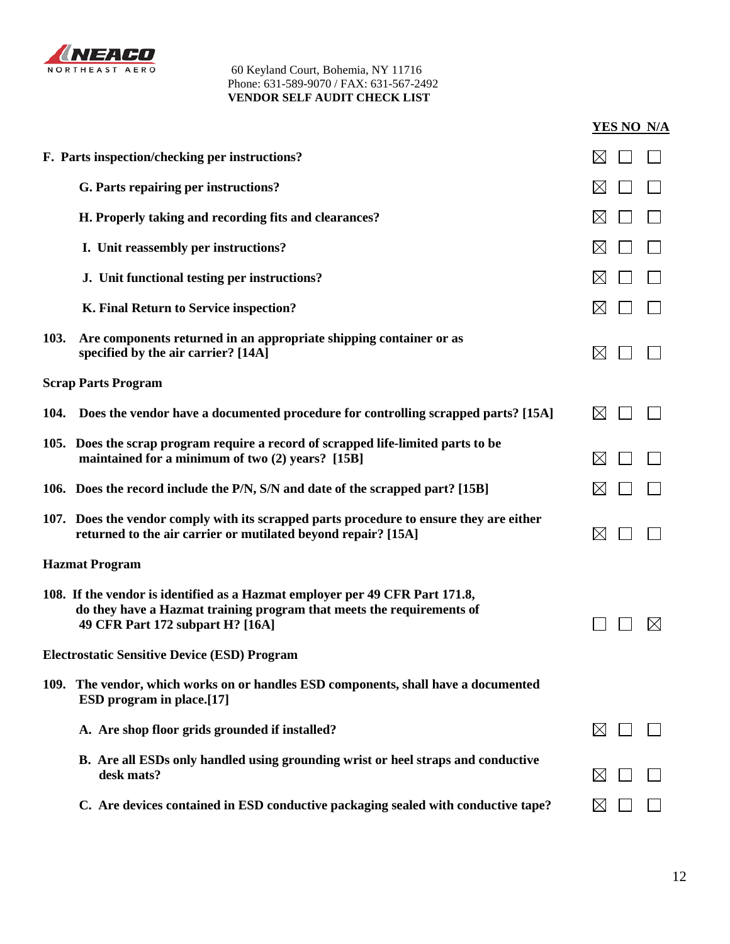

|      |                                                                                                                                                                                           | YES NO N/A  |
|------|-------------------------------------------------------------------------------------------------------------------------------------------------------------------------------------------|-------------|
|      | F. Parts inspection/checking per instructions?                                                                                                                                            | $\bowtie$   |
|      | G. Parts repairing per instructions?                                                                                                                                                      | $\boxtimes$ |
|      | H. Properly taking and recording fits and clearances?                                                                                                                                     | IХI         |
|      | I. Unit reassembly per instructions?                                                                                                                                                      | $\boxtimes$ |
|      | J. Unit functional testing per instructions?                                                                                                                                              |             |
|      | K. Final Return to Service inspection?                                                                                                                                                    | $\boxtimes$ |
| 103. | Are components returned in an appropriate shipping container or as<br>specified by the air carrier? [14A]                                                                                 | $\boxtimes$ |
|      | <b>Scrap Parts Program</b>                                                                                                                                                                |             |
|      | 104. Does the vendor have a documented procedure for controlling scrapped parts? [15A]                                                                                                    | $\bowtie$   |
|      | 105. Does the scrap program require a record of scrapped life-limited parts to be<br>maintained for a minimum of two (2) years? [15B]                                                     | $\boxtimes$ |
|      | 106. Does the record include the P/N, S/N and date of the scrapped part? [15B]                                                                                                            |             |
|      | 107. Does the vendor comply with its scrapped parts procedure to ensure they are either<br>returned to the air carrier or mutilated beyond repair? [15A]                                  | $\boxtimes$ |
|      | <b>Hazmat Program</b>                                                                                                                                                                     |             |
|      | 108. If the vendor is identified as a Hazmat employer per 49 CFR Part 171.8,<br>do they have a Hazmat training program that meets the requirements of<br>49 CFR Part 172 subpart H? [16A] |             |
|      | <b>Electrostatic Sensitive Device (ESD) Program</b>                                                                                                                                       |             |
|      | 109. The vendor, which works on or handles ESD components, shall have a documented<br><b>ESD</b> program in place.[17]                                                                    |             |
|      | A. Are shop floor grids grounded if installed?                                                                                                                                            | $\boxtimes$ |
|      | B. Are all ESDs only handled using grounding wrist or heel straps and conductive<br>desk mats?                                                                                            | $\boxtimes$ |
|      | C. Are devices contained in ESD conductive packaging sealed with conductive tape?                                                                                                         | $\boxtimes$ |